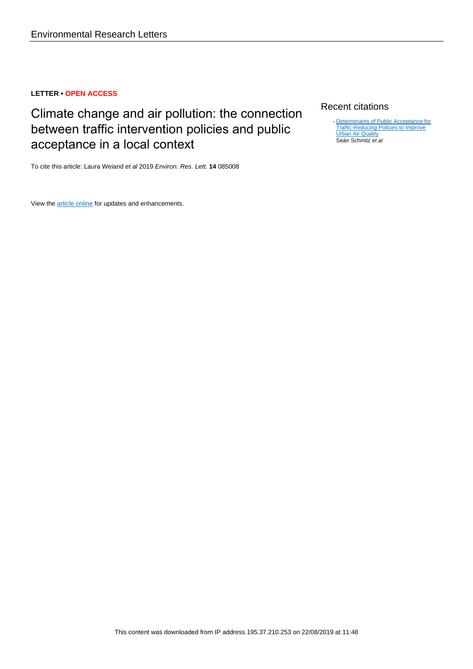# **LETTER • OPEN ACCESS**

# Climate change and air pollution: the connection between traffic intervention policies and public acceptance in a local context

To cite this article: Laura Weiand et al 2019 Environ. Res. Lett. **14** 085008

View the [article online](https://doi.org/10.1088/1748-9326/ab299b) for updates and enhancements.

# Recent citations

- [Determinants of Public Acceptance for](http://dx.doi.org/10.3390/su11143991) [Traffic-Reducing Policies to Improve](http://dx.doi.org/10.3390/su11143991) **[Urban Air Quality](http://dx.doi.org/10.3390/su11143991)** Seán Schmitz et al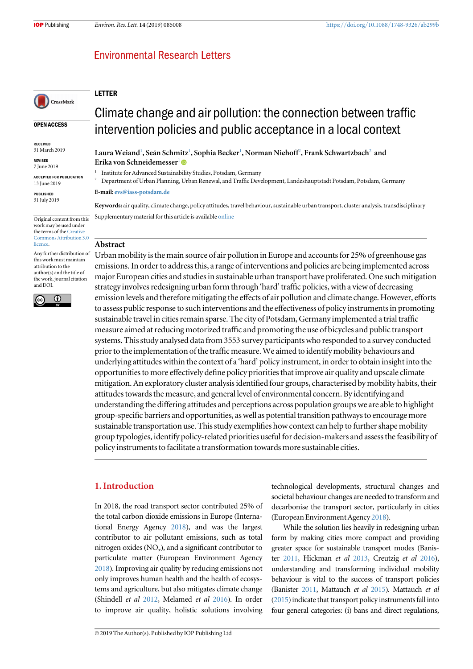# **Environmental Research Letters**

# LETTER

#### OPEN ACCESS

CrossMark

RECEIVED 31 March 2019

REVISED 7 June 2019

ACCEPTED FOR PUBLICATION 13 June 2019

PUBLISHED 31 July 2019

Original content from this work may be used under the terms of the Creativ [Commons Attribution 3.0](http://creativecommons.org/licenses/by/3.0) [licence.](http://creativecommons.org/licenses/by/3.0)

Any further distribution of this work must maintain attribution to the author(s) and the title of the work, journal citation and DOI.



Climate change and air pollution: the connection between traffic intervention policies and public acceptance in a local context

Laura Weiand¦, Seán Schmitz<sup>1</sup>, Sophia Becker¦, Norman Niehoff<sup>2</sup>, Frank Schwartzbach<sup>2</sup> and Erika von Schneidemesser<sup>1</sup>

<sup>1</sup> Institute for Advanced Sustainability Studies, Potsdam, Germany  $\frac{2}{3}$  Department of Urban Planning Urban Pangual, and Traffe Department

<sup>2</sup> Department of Urban Planning, Urban Renewal, and Traffic Development, Landeshauptstadt Potsdam, Potsdam, Germany

#### E-mail: [evs@iass-potsdam.de](mailto:evs@iass-potsdam.de)

Keywords: air quality, climate change, policy attitudes, travel behaviour, sustainable urban transport, cluster analysis, transdisciplinary Supplementary material for this article is available [online](https://doi.org/10.1088/1748-9326/ab299b)

#### Abstract

Urban mobility is the main source of air pollution in Europe and accounts for 25% of greenhouse gas emissions. In order to address this, a range of interventions and policies are being implemented across major European cities and studies in sustainable urban transport have proliferated. One such mitigation strategy involves redesigning urban form through 'hard' traffic policies, with a view of decreasing emission levels and therefore mitigating the effects of air pollution and climate change. However, efforts to assess public response to such interventions and the effectiveness of policy instruments in promoting sustainable travel in cities remain sparse. The city of Potsdam, Germany implemented a trial traffic measure aimed at reducing motorized traffic and promoting the use of bicycles and public transport systems. This study analysed data from 3553 survey participants who responded to a survey conducted prior to the implementation of the traffic measure.We aimed to identify mobility behaviours and underlying attitudes within the context of a 'hard' policy instrument, in order to obtain insight into the opportunities to more effectively define policy priorities that improve air quality and upscale climate mitigation. An exploratory cluster analysis identified four groups, characterised by mobility habits, their attitudes towards the measure, and general level of environmental concern. By identifying and understanding the differing attitudes and perceptions across population groups we are able to highlight group-specific barriers and opportunities, as well as potential transition pathways to encourage more sustainable transportation use. This study exemplifies how context can help to further shape mobility group typologies, identify policy-related priorities useful for decision-makers and assess the feasibility of policy instruments tofacilitate a transformation towards more sustainable cities.

### 1. Introduction

In 2018, the road transport sector contributed 25% of the total carbon dioxide emissions in Europe (International Energy Agency [2018](#page-11-0)), and was the largest contributor to air pollutant emissions, such as total nitrogen oxides  $(NO_x)$ , and a significant contributor to particulate matter (European Environment Agency [2018](#page-10-0)). Improving air quality by reducing emissions not only improves human health and the health of ecosystems and agriculture, but also mitigates climate change (Shindell et al [2012,](#page-11-0) Melamed et al [2016](#page-11-0)). In order to improve air quality, holistic solutions involving

© 2019 The Author(s). Published by IOP Publishing Ltd

technological developments, structural changes and societal behaviour changes are needed to transform and decarbonise the transport sector, particularly in cities (European Environment Agency [2018](#page-10-0)).

While the solution lies heavily in redesigning urban form by making cities more compact and providing greater space for sustainable transport modes (Banister [2011,](#page-10-0) Hickman et al [2013,](#page-11-0) Creutzig et al [2016](#page-10-0)), understanding and transforming individual mobility behaviour is vital to the success of transport policies (Banister [2011](#page-10-0), Mattauch et al [2015](#page-11-0)). Mattauch et al  $(2015)$  $(2015)$  $(2015)$  indicate that transport policy instruments fall into four general categories: (i) bans and direct regulations,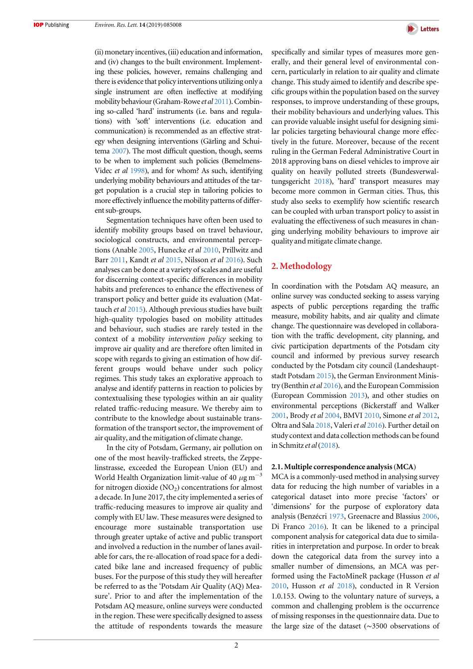(ii) monetary incentives,(iii) education and information, and (iv) changes to the built environment. Implementing these policies, however, remains challenging and there is evidence that policy interventions utilizing only a single instrument are often ineffective at modifying mobility behaviour (Graham-Rowe et al [2011](#page-10-0)). Combining so-called 'hard' instruments (i.e. bans and regulations) with 'soft' interventions (i.e. education and communication) is recommended as an effective strategy when designing interventions (Gärling and Schuitema [2007](#page-10-0)). The most difficult question, though, seems to be when to implement such policies (Bemelmens-Videc et al [1998](#page-10-0)), and for whom? As such, identifying underlying mobility behaviours and attitudes of the target population is a crucial step in tailoring policies to more effectively influence the mobility patterns of different sub-groups.

Segmentation techniques have often been used to identify mobility groups based on travel behaviour, sociological constructs, and environmental perceptions (Anable [2005,](#page-10-0) Hunecke et al [2010,](#page-11-0) Prillwitz and Barr [2011](#page-11-0), Kandt et al [2015,](#page-11-0) Nilsson et al [2016](#page-11-0)). Such analyses can be done at a variety of scales and are useful for discerning context-specific differences in mobility habits and preferences to enhance the effectiveness of transport policy and better guide its evaluation (Mattauch et al [2015](#page-11-0)). Although previous studies have built high-quality typologies based on mobility attitudes and behaviour, such studies are rarely tested in the context of a mobility intervention policy seeking to improve air quality and are therefore often limited in scope with regards to giving an estimation of how different groups would behave under such policy regimes. This study takes an explorative approach to analyse and identify patterns in reaction to policies by contextualising these typologies within an air quality related traffic-reducing measure. We thereby aim to contribute to the knowledge about sustainable transformation of the transport sector, the improvement of air quality, and the mitigation of climate change.

In the city of Potsdam, Germany, air pollution on one of the most heavily-trafficked streets, the Zeppelinstrasse, exceeded the European Union (EU) and World Health Organization limit-value of 40  $\mu$ g m<sup>-3</sup> for nitrogen dioxide  $(NO<sub>2</sub>)$  concentrations for almost a decade. In June 2017, the city implemented a series of traffic-reducing measures to improve air quality and comply with EU law. These measures were designed to encourage more sustainable transportation use through greater uptake of active and public transport and involved a reduction in the number of lanes available for cars, the re-allocation of road space for a dedicated bike lane and increased frequency of public buses. For the purpose of this study they will hereafter be referred to as the 'Potsdam Air Quality (AQ) Measure'. Prior to and after the implementation of the Potsdam AQ measure, online surveys were conducted in the region. These were specifically designed to assess the attitude of respondents towards the measure



specifically and similar types of measures more generally, and their general level of environmental concern, particularly in relation to air quality and climate change. This study aimed to identify and describe specific groups within the population based on the survey responses, to improve understanding of these groups, their mobility behaviours and underlying values. This can provide valuable insight useful for designing similar policies targeting behavioural change more effectively in the future. Moreover, because of the recent ruling in the German Federal Administrative Court in 2018 approving bans on diesel vehicles to improve air quality on heavily polluted streets (Bundesverwaltungsgericht [2018](#page-10-0)), 'hard' transport measures may become more common in German cities. Thus, this study also seeks to exemplify how scientific research can be coupled with urban transport policy to assist in evaluating the effectiveness of such measures in changing underlying mobility behaviours to improve air quality and mitigate climate change.

### 2. Methodology

In coordination with the Potsdam AQ measure, an online survey was conducted seeking to assess varying aspects of public perceptions regarding the traffic measure, mobility habits, and air quality and climate change. The questionnaire was developed in collaboration with the traffic development, city planning, and civic participation departments of the Potsdam city council and informed by previous survey research conducted by the Potsdam city council (Landeshauptstadt Potsdam [2015](#page-11-0)), the German Environment Ministry (Benthin et al [2016](#page-10-0)), and the European Commission (European Commission [2013](#page-10-0)), and other studies on environmental perceptions (Bickerstaff and Walker [2001](#page-10-0), Brody et al [2004,](#page-10-0) BMVI [2010](#page-10-0), Simone et al [2012](#page-11-0), Oltra and Sala [2018](#page-11-0), Valeri et al [2016](#page-11-0)). Further detail on study context and data collection methods can be found in Schmitz et al ([2018](#page-11-0)).

#### 2.1. Multiple correspondence analysis(MCA)

MCA is a commonly-used method in analysing survey data for reducing the high number of variables in a categorical dataset into more precise 'factors' or 'dimensions' for the purpose of exploratory data analysis (Benzécri [1973](#page-10-0), Greenacre and Blassius [2006](#page-10-0), Di Franco [2016](#page-10-0)). It can be likened to a principal component analysis for categorical data due to similarities in interpretation and purpose. In order to break down the categorical data from the survey into a smaller number of dimensions, an MCA was performed using the FactoMineR package (Husson et al [2010,](#page-11-0) Husson et al [2018](#page-11-0)), conducted in R Version 1.0.153. Owing to the voluntary nature of surveys, a common and challenging problem is the occurrence of missing responses in the questionnaire data. Due to the large size of the dataset (∼3500 observations of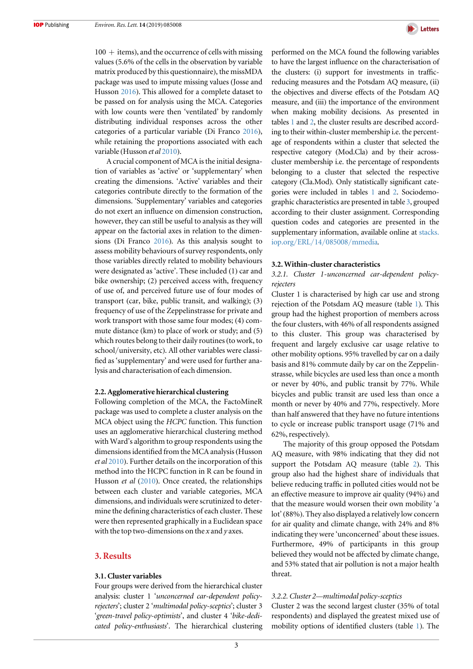$100 +$  items), and the occurrence of cells with missing values (5.6% of the cells in the observation by variable matrix produced by this questionnaire), the missMDA package was used to impute missing values (Josse and Husson [2016](#page-11-0)). This allowed for a complete dataset to be passed on for analysis using the MCA. Categories with low counts were then 'ventilated' by randomly distributing individual responses across the other categories of a particular variable (Di Franco [2016](#page-10-0)), while retaining the proportions associated with each variable (Husson et al [2010](#page-11-0)).

A crucial component of MCA is the initial designation of variables as 'active' or 'supplementary' when creating the dimensions. 'Active' variables and their categories contribute directly to the formation of the dimensions. 'Supplementary' variables and categories do not exert an influence on dimension construction, however, they can still be useful to analysis as they will appear on the factorial axes in relation to the dimensions (Di Franco [2016](#page-10-0)). As this analysis sought to assess mobility behaviours of survey respondents, only those variables directly related to mobility behaviours were designated as 'active'. These included (1) car and bike ownership; (2) perceived access with, frequency of use of, and perceived future use of four modes of transport (car, bike, public transit, and walking); (3) frequency of use of the Zeppelinstrasse for private and work transport with those same four modes; (4) commute distance (km) to place of work or study; and (5) which routes belong to their daily routines (to work, to school/university, etc). All other variables were classified as 'supplementary' and were used for further analysis and characterisation of each dimension.

#### 2.2. Agglomerative hierarchical clustering

Following completion of the MCA, the FactoMineR package was used to complete a cluster analysis on the MCA object using the HCPC function. This function uses an agglomerative hierarchical clustering method with Ward's algorithm to group respondents using the dimensions identified from the MCA analysis(Husson et al [2010](#page-11-0)). Further details on the incorporation of this method into the HCPC function in R can be found in Husson et al ([2010](#page-11-0)). Once created, the relationships between each cluster and variable categories, MCA dimensions, and individuals were scrutinized to determine the defining characteristics of each cluster. These were then represented graphically in a Euclidean space with the top two-dimensions on the  $x$  and  $y$  axes.

### 3. Results

#### 3.1. Cluster variables

Four groups were derived from the hierarchical cluster analysis: cluster 1 'unconcerned car-dependent policyrejecters'; cluster 2 'multimodal policy-sceptics'; cluster 3 'green-travel policy-optimists', and cluster 4 'bike-dedicated policy-enthusiasts'. The hierarchical clustering



performed on the MCA found the following variables to have the largest influence on the characterisation of the clusters: (i) support for investments in trafficreducing measures and the Potsdam AQ measure, (ii) the objectives and diverse effects of the Potsdam AQ measure, and (iii) the importance of the environment when making mobility decisions. As presented in tables [1](#page-4-0) and [2,](#page-5-0) the cluster results are described according to their within-cluster membership i.e. the percentage of respondents within a cluster that selected the respective category (Mod.Cla) and by their acrosscluster membership i.e. the percentage of respondents belonging to a cluster that selected the respective category (Cla.Mod). Only statistically significant categories were included in tables [1](#page-4-0) and [2](#page-5-0). Sociodemographic characteristics are presented in table [3](#page-8-0), grouped according to their cluster assignment. Corresponding question codes and categories are presented in the supplementary information, available online at [stacks.](http://stacks.iop.org/ERL/14/085008/mmedia) iop.org/ERL/14/085008/[mmedia](http://stacks.iop.org/ERL/14/085008/mmedia).

#### 3.2. Within-cluster characteristics

3.2.1. Cluster 1-unconcerned car-dependent policyrejecters

Cluster 1 is characterised by high car use and strong rejection of the Potsdam AQ measure (table [1](#page-4-0)). This group had the highest proportion of members across the four clusters, with 46% of all respondents assigned to this cluster. This group was characterised by frequent and largely exclusive car usage relative to other mobility options. 95% travelled by car on a daily basis and 81% commute daily by car on the Zeppelinstrasse, while bicycles are used less than once a month or never by 40%, and public transit by 77%. While bicycles and public transit are used less than once a month or never by 40% and 77%, respectively. More than half answered that they have no future intentions to cycle or increase public transport usage (71% and 62%, respectively).

The majority of this group opposed the Potsdam AQ measure, with 98% indicating that they did not support the Potsdam AQ measure (table [2](#page-5-0)). This group also had the highest share of individuals that believe reducing traffic in polluted cities would not be an effective measure to improve air quality (94%) and that the measure would worsen their own mobility 'a lot' (88%). They also displayed a relatively low concern for air quality and climate change, with 24% and 8% indicating they were 'unconcerned' about these issues. Furthermore, 49% of participants in this group believed they would not be affected by climate change, and 53% stated that air pollution is not a major health threat.

#### 3.2.2. Cluster 2—multimodal policy-sceptics

Cluster 2 was the second largest cluster (35% of total respondents) and displayed the greatest mixed use of mobility options of identified clusters (table [1](#page-4-0)). The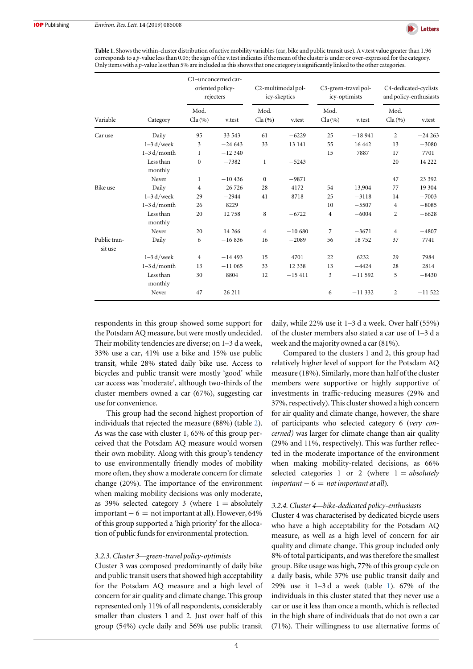

<span id="page-4-0"></span>Table 1. Shows the within-cluster distribution of active mobility variables (car, bike and public transit use). A v.test value greater than 1.96 corresponds to a p-value less than 0.05; the sign of the v.test indicates if the mean of the cluster is under or over-expressed for the category. Only items with a p-value less than 5% are included as this shows that one category is significantly linked to the other categories.

|                         |                      |                                | C1-unconcerned car-<br>oriented policy-<br>rejecters |                                | C2-multimodal pol-<br>icy-skeptics |                   | C3-green-travel pol-<br>icy-optimists | C4-dedicated-cyclists<br>and policy-enthusiasts |          |  |
|-------------------------|----------------------|--------------------------------|------------------------------------------------------|--------------------------------|------------------------------------|-------------------|---------------------------------------|-------------------------------------------------|----------|--|
| Variable                | Category             | Mod.<br>$Cla \left( % \right)$ | v.test                                               | Mod.<br>$Cla \left( % \right)$ | v.test                             | Mod.<br>$Cla(\%)$ | v.test                                | Mod.<br>$Cla(\%)$                               | v.test   |  |
| Car use                 | Daily                | 95                             | 33 543                                               | 61                             | $-6229$                            | 25                | $-18941$                              | $\overline{c}$                                  | $-24263$ |  |
|                         | $1-3 d/$ week        | 3                              | $-24643$                                             | 33                             | 13 14 1                            | 55                | 16 442                                | 13                                              | $-3080$  |  |
|                         | $1-3 d/m$ onth       | 1                              | $-12340$                                             |                                |                                    | 15                | 7887                                  | 17                                              | 7701     |  |
|                         | Less than<br>monthly | $\mathbf{0}$                   | $-7382$                                              | $\mathbf{1}$                   | $-5243$                            |                   |                                       | 20                                              | 14 222   |  |
|                         | Never                | $\mathbf{1}$                   | $-10436$                                             | $\mathbf{0}$                   | $-9871$                            |                   |                                       | 47                                              | 23 392   |  |
| Bike use                | Daily                | $\overline{4}$                 | $-26726$                                             | 28                             | 4172                               | 54                | 13,904                                | 77                                              | 19 304   |  |
|                         | $1-3$ d/week         | 29                             | $-2944$                                              | 41                             | 8718                               | 25                | $-3118$                               | 14                                              | $-7003$  |  |
|                         | $1-3 d/month$        | 26                             | 8229                                                 |                                |                                    | 10                | $-5507$                               | 4                                               | $-8085$  |  |
|                         | Less than<br>monthly | 20                             | 12758                                                | 8                              | $-6722$                            | $\overline{4}$    | $-6004$                               | $\overline{c}$                                  | $-6628$  |  |
|                         | Never                | 20                             | 14 26 6                                              | $\overline{4}$                 | $-10680$                           | 7                 | $-3671$                               | 4                                               | $-4807$  |  |
| Public tran-<br>sit use | Daily                | 6                              | $-16836$                                             | 16                             | $-2089$                            | 56                | 18752                                 | 37                                              | 7741     |  |
|                         | $1-3 d/$ week        | $\overline{4}$                 | $-14493$                                             | 15                             | 4701                               | 22                | 6232                                  | 29                                              | 7984     |  |
|                         | $1-3 d/month$        | 13                             | $-11065$                                             | 33                             | 12 3 38                            | 13                | $-4424$                               | 28                                              | 2814     |  |
|                         | Less than<br>monthly | 30                             | 8804                                                 | 12                             | $-15411$                           | 3                 | $-11592$                              | 5                                               | $-8430$  |  |
|                         | Never                | 47                             | 26 211                                               |                                |                                    | 6                 | $-11332$                              | $\overline{c}$                                  | $-11522$ |  |

respondents in this group showed some support for the Potsdam AQ measure, but were mostly undecided. Their mobility tendencies are diverse; on 1–3 d a week, 33% use a car, 41% use a bike and 15% use public transit, while 28% stated daily bike use. Access to bicycles and public transit were mostly 'good' while car access was 'moderate', although two-thirds of the cluster members owned a car (67%), suggesting car use for convenience.

This group had the second highest proportion of individuals that rejected the measure (88%) (table [2](#page-5-0)). As was the case with cluster 1, 65% of this group perceived that the Potsdam AQ measure would worsen their own mobility. Along with this group's tendency to use environmentally friendly modes of mobility more often, they show a moderate concern for climate change (20%). The importance of the environment when making mobility decisions was only moderate, as 39% selected category 3 (where  $1 =$  absolutely  $important - 6 = not important at all. However, 64%$ of this group supported a 'high priority' for the allocation of public funds for environmental protection.

#### 3.2.3. Cluster 3—green-travel policy-optimists

Cluster 3 was composed predominantly of daily bike and public transit users that showed high acceptability for the Potsdam AQ measure and a high level of concern for air quality and climate change. This group represented only 11% of all respondents, considerably smaller than clusters 1 and 2. Just over half of this group (54%) cycle daily and 56% use public transit daily, while 22% use it 1–3 d a week. Over half (55%) of the cluster members also stated a car use of 1–3da week and the majority owned a car (81%).

Compared to the clusters 1 and 2, this group had relatively higher level of support for the Potsdam AQ measure (18%). Similarly, more than half of the cluster members were supportive or highly supportive of investments in traffic-reducing measures (29% and 37%, respectively). This cluster showed a high concern for air quality and climate change, however, the share of participants who selected category 6 (very concerned) was larger for climate change than air quality (29% and 11%, respectively). This was further reflected in the moderate importance of the environment when making mobility-related decisions, as 66% selected categories 1 or 2 (where  $1 = absolutely$  $important - 6 = not important$  at all).

#### 3.2.4. Cluster 4—bike-dedicated policy-enthusiasts

Cluster 4 was characterised by dedicated bicycle users who have a high acceptability for the Potsdam AQ measure, as well as a high level of concern for air quality and climate change. This group included only 8% of total participants, and was therefore the smallest group. Bike usage was high, 77% of this group cycle on a daily basis, while 37% use public transit daily and 29% use it 1–3 d a week (table 1). 67% of the individuals in this cluster stated that they never use a car or use it less than once a month, which is reflected in the high share of individuals that do not own a car (71%). Their willingness to use alternative forms of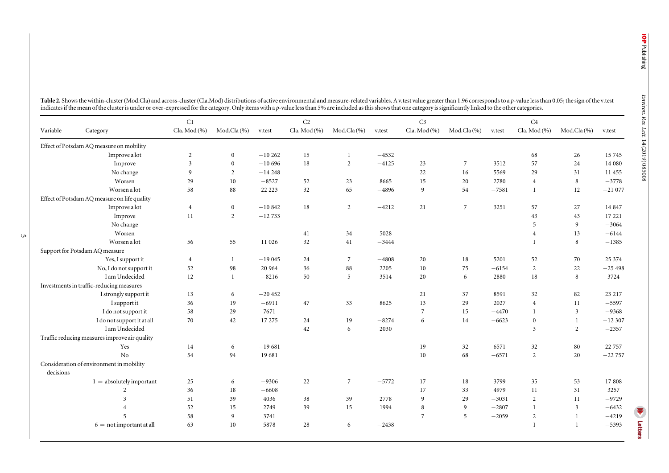<span id="page-5-0"></span>

|           |                                               | C1                      |                |          | C2            |                |         | C <sub>3</sub> |                |         | C4                      |                |          |
|-----------|-----------------------------------------------|-------------------------|----------------|----------|---------------|----------------|---------|----------------|----------------|---------|-------------------------|----------------|----------|
| Variable  | Category                                      | Cla. Mod $(%$           | Mod.Cla (%)    | v.test   | Cla. Mod $(%$ | Mod.Cla(%)     | v.test  | Cla. Mod $(%$  | Mod.Cla(%)     | v.test  | Cla. Mod $(\% )$        | Mod.Cla(%)     | v.test   |
|           | Effect of Potsdam AQ measure on mobility      |                         |                |          |               |                |         |                |                |         |                         |                |          |
|           | Improve a lot                                 | 2                       | $\mathbf{0}$   | $-10262$ | 15            | -1             | $-4532$ |                |                |         | 68                      | 26             | 15 7 45  |
|           | Improve                                       | $\overline{\mathbf{3}}$ | $\mathbf{0}$   | $-10696$ | 18            | $\overline{2}$ | $-4125$ | 23             | 7              | 3512    | 57                      | 24             | 14 080   |
|           | No change                                     | 9                       | $\overline{c}$ | $-14248$ |               |                |         | 22             | 16             | 5569    | 29                      | 31             | 11 455   |
|           | Worsen                                        | 29                      | 10             | $-8527$  | 52            | 23             | 8665    | 15             | 20             | 2780    | $\overline{4}$          | 8              | $-3778$  |
|           | Worsen a lot                                  | 58                      | 88             | 22 22 3  | 32            | 65             | $-4896$ | 9              | 54             | $-7581$ | $\mathbf{1}$            | 12             | $-21077$ |
|           | Effect of Potsdam AQ measure on life quality  |                         |                |          |               |                |         |                |                |         |                         |                |          |
|           | Improve a lot                                 | $\overline{4}$          | $\overline{0}$ | $-10842$ | 18            | 2              | $-4212$ | 21             | $\overline{7}$ | 3251    | 57                      | 27             | 14 8 47  |
|           | Improve                                       | $11\,$                  | $\overline{2}$ | $-12733$ |               |                |         |                |                |         | 43                      | 43             | 17 221   |
|           | No change                                     |                         |                |          |               |                |         |                |                |         | 5                       | 9              | $-3064$  |
|           | Worsen                                        |                         |                |          | 41            | 34             | 5028    |                |                |         | $\overline{4}$          | 13             | $-6144$  |
|           | Worsen a lot                                  | 56                      | 55             | 11 026   | 32            | 41             | $-3444$ |                |                |         |                         | $\,$ 8 $\,$    | $-1385$  |
|           | Support for Potsdam AQ measure                |                         |                |          |               |                |         |                |                |         |                         |                |          |
|           | Yes, I support it                             | $\overline{4}$          | -1             | $-19045$ | 24            | 7              | $-4808$ | $20\,$         | $18\,$         | 5201    | 52                      | 70             | 25 374   |
|           | No, I do not support it                       | 52                      | 98             | 20 964   | 36            | $\bf 88$       | 2205    | 10             | 75             | $-6154$ | $\overline{2}$          | 22             | $-25498$ |
|           | I am Undecided                                | 12                      | $\mathbf{1}$   | $-8216$  | 50            | 5              | 3514    | 20             | 6              | 2880    | 18                      | 8              | 3724     |
|           | Investments in traffic-reducing measures      |                         |                |          |               |                |         |                |                |         |                         |                |          |
|           | I strongly support it                         | 13                      | 6              | $-20452$ |               |                |         | 21             | 37             | 8591    | 32                      | 82             | 23 217   |
|           | I support it                                  | 36                      | 19             | $-6911$  | 47            | 33             | 8625    | 13             | 29             | 2027    | $\overline{4}$          | 11             | $-5597$  |
|           | I do not support it                           | 58                      | 29             | 7671     |               |                |         | $\overline{7}$ | 15             | $-4470$ | $\mathbf{1}$            | 3              | $-9368$  |
|           | I do not support it at all                    | 70                      | 42             | 17 275   | 24            | 19             | $-8274$ | 6              | 14             | $-6623$ | $\mathbf{0}$            | -1             | $-12307$ |
|           | I am Undecided                                |                         |                |          | 42            | 6              | 2030    |                |                |         | $\overline{\mathbf{3}}$ | $\overline{2}$ | $-2357$  |
|           | Traffic reducing measures improve air quality |                         |                |          |               |                |         |                |                |         |                         |                |          |
|           | Yes                                           | 14                      | 6              | $-19681$ |               |                |         | 19             | 32             | 6571    | 32                      | 80             | 22 757   |
|           | No                                            | 54                      | 94             | 19681    |               |                |         | 10             | 68             | $-6571$ | 2                       | 20             | $-22757$ |
|           | Consideration of environment in mobility      |                         |                |          |               |                |         |                |                |         |                         |                |          |
| decisions |                                               |                         |                |          |               |                |         |                |                |         |                         |                |          |
|           | $1 =$ absolutely important                    | 25                      | 6              | $-9306$  | 22            | 7              | $-5772$ | 17             | 18             | 3799    | 35                      | 53             | 17808    |
|           | $\mathfrak{D}$                                | 36                      | 18             | $-6608$  |               |                |         | 17             | 33             | 4979    | 11                      | 31             | 3257     |
|           | 3                                             | 51                      | 39             | 4036     | 38            | 39             | 2778    | $\overline{9}$ | 29             | $-3031$ | 2                       | 11             | $-9729$  |
|           |                                               | 52                      | 15             | 2749     | 39            | 15             | 1994    | 8              | 9              | $-2807$ | $\mathbf{1}$            | 3              | $-6432$  |
|           | .5                                            | 58                      | 9              | 3741     |               |                |         | $\overline{7}$ | 5              | $-2059$ | 2                       |                | $-4219$  |

6 <sup>=</sup> not important at all <sup>63</sup> <sup>10</sup> <sup>5878</sup> <sup>28</sup> <sup>6</sup> <sup>−</sup><sup>2438</sup> <sup>1</sup> <sup>1</sup> <sup>−</sup><sup>5393</sup>

Letters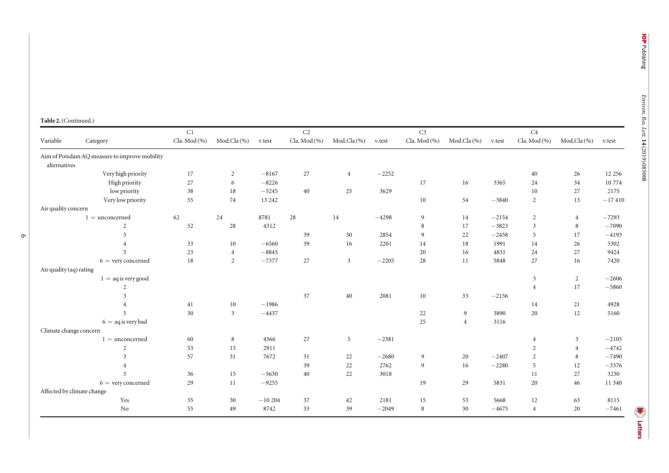#### Table 2. (Continued.)

 $\circ$ 

|                         |                                               | C1           |                |          | C2           |                |         | C <sub>3</sub> |                |         | C <sub>4</sub> |                |          |
|-------------------------|-----------------------------------------------|--------------|----------------|----------|--------------|----------------|---------|----------------|----------------|---------|----------------|----------------|----------|
| Variable                | Category                                      | Cla. Mod (%) | Mod.Cla (%)    | v.test   | Cla. Mod (%) | Mod.Cla (%)    | v.test  | Cla. Mod (%)   | Mod.Cla $(%$   | v.test  | Cla. Mod (%)   | Mod.Cla(%)     | v.test   |
| alternatives            | Aim of Potsdam AQ measure to improve mobility |              |                |          |              |                |         |                |                |         |                |                |          |
|                         | Very high priority                            | 17           | 2              | $-8167$  | 27           | $\overline{4}$ | $-2252$ |                |                |         | 40             | 26             | 12 2 5 6 |
|                         | High priority                                 | 27           | 6              | $-8226$  |              |                |         | 17             | 16             | 3365    | 24             | 34             | 10774    |
|                         | low priority                                  | 38           | 18             | $-5245$  | 40           | 25             | 3629    |                |                |         | 10             | $27\,$         | 2175     |
|                         | Very low priority                             | 55           | 74             | 13 24 2  |              |                |         | 10             | 54             | $-3840$ | $\overline{2}$ | 13             | $-17410$ |
| Air quality concern     |                                               |              |                |          |              |                |         |                |                |         |                |                |          |
|                         | $1 =$ unconcerned                             | 62           | 24             | 8781     | 28           | 14             | $-4298$ | 9              | 14             | $-2154$ | 2              | $\overline{4}$ | $-7293$  |
|                         | $\overline{2}$                                | 52           | 28             | 4312     |              |                |         | 8              | 17             | $-3823$ | 3              | 8              | $-7090$  |
|                         | 3                                             |              |                |          | 39           | 30             | 2854    | 9              | 22             | $-2458$ | 5              | 17             | $-4193$  |
|                         | $\overline{4}$                                | 33           | 10             | $-6560$  | 39           | 16             | 2201    | 14             | 18             | 1991    | 14             | 26             | 5302     |
|                         | 5                                             | 23           | $\overline{4}$ | $-8845$  |              |                |         | 20             | 16             | 4831    | 24             | 27             | 9424     |
|                         | $6 =$ very concerned                          | 18           | 2              | $-7377$  | 27           | $\mathbf{3}$   | $-2205$ | 28             | 11             | 5848    | 27             | 16             | 7420     |
| Air quality (aq) rating |                                               |              |                |          |              |                |         |                |                |         |                |                |          |
|                         | $1 = aq$ is very good                         |              |                |          |              |                |         |                |                |         | $\mathfrak{Z}$ | $\overline{2}$ | $-2606$  |
|                         | 2                                             |              |                |          |              |                |         |                |                |         | $\overline{4}$ | 17             | $-5860$  |
|                         | 3                                             |              |                |          | 37           | 40             | 2081    | 10             | 33             | $-2156$ |                |                |          |
|                         | $\overline{4}$                                | 41           | 10             | $-1986$  |              |                |         |                |                |         | 14             | 21             | 4928     |
|                         | 5                                             | 30           | $\mathbf{3}$   | $-4437$  |              |                |         | 22             | 9              | 3890    | 20             | 12             | 5160     |
|                         | $6 = aq$ is very bad                          |              |                |          |              |                |         | 25             | $\overline{4}$ | 3116    |                |                |          |
| Climate change concern  |                                               |              |                |          |              |                |         |                |                |         |                |                |          |
|                         | $1 =$ unconcerned                             | 60           | 8              | 4366     | 27           | 5              | $-2381$ |                |                |         | $\overline{4}$ | 3              | $-2105$  |
|                         | 2                                             | 53           | 13             | 2911     |              |                |         |                |                |         | 2              | $\overline{4}$ | $-4742$  |
|                         | 3                                             | 57           | 31             | 7672     | 31           | 22             | $-2680$ | 9              | 20             | $-2407$ | 2              | 8              | $-7490$  |
|                         | $\overline{4}$                                |              |                |          | 39           | 22             | 2762    | 9              | 16             | $-2280$ | 5              | 12             | $-3376$  |
|                         | 5                                             | 36           | 15             | $-5630$  | 40           | 22             | 3018    |                |                |         | 11             | 27             | 3230     |
|                         | $6 =$ very concerned                          | 29           | 11             | $-9255$  |              |                |         | 19             | 29             | 5831    | 20             | 46             | 11 340   |
|                         | Affected by climate change                    |              |                |          |              |                |         |                |                |         |                |                |          |
|                         | Yes                                           | 35           | 30             | $-10204$ | 37           | 42             | 2181    | 15             | 53             | 5668    | 12             | 63             | 8115     |
|                         | No                                            | 55           | 49             | 8742     | 33           | 39             | $-2049$ | 8              | 30             | $-4675$ | $\overline{4}$ | 20             | $-7461$  |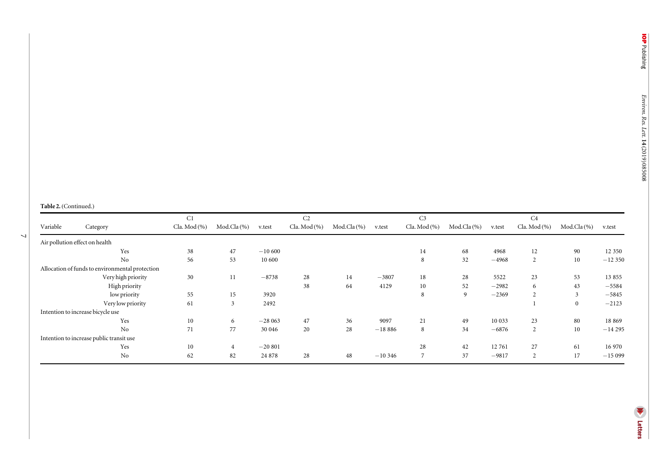#### Table 2. (Continued.)

 $\overline{\phantom{0}}$ 

|          |                                                 | C <sub>1</sub> |              |          | C <sub>2</sub>   |             |           | C <sub>3</sub>   |                 |         | C <sub>4</sub> |              |          |
|----------|-------------------------------------------------|----------------|--------------|----------|------------------|-------------|-----------|------------------|-----------------|---------|----------------|--------------|----------|
| Variable | Category                                        | Cla. Mod (%)   | Mod.Cla $(%$ | v.test   | Cla. Mod $(\% )$ | Mod.Cla (%) | v.test    | Cla. Mod $(\% )$ | Mod.Cla $(\% )$ | v.test  | Cla. Mod (%)   | Mod.Cla (%)  | v.test   |
|          | Air pollution effect on health                  |                |              |          |                  |             |           |                  |                 |         |                |              |          |
|          | Yes                                             | 38             | 47           | $-10600$ |                  |             |           | 14               | 68              | 4968    | 12             | 90           | 12 350   |
|          | N <sub>0</sub>                                  | 56             | 53           | 10 600   |                  |             |           | 8                | 32              | $-4968$ | 2              | 10           | $-12350$ |
|          | Allocation of funds to environmental protection |                |              |          |                  |             |           |                  |                 |         |                |              |          |
|          | Very high priority                              | 30             | 11           | $-8738$  | 28               | 14          | $-3807$   | 18               | 28              | 5522    | 23             | 53           | 13 8 55  |
|          | High priority                                   |                |              |          | 38               | 64          | 4129      | 10               | 52              | $-2982$ | 6              | 43           | $-5584$  |
|          | low priority                                    | 55             | 15           | 3920     |                  |             |           | 8                | 9               | $-2369$ | $\overline{c}$ | 3            | $-5845$  |
|          | Very low priority                               | 61             | 3            | 2492     |                  |             |           |                  |                 |         |                | $\mathbf{0}$ | $-2123$  |
|          | Intention to increase bicycle use               |                |              |          |                  |             |           |                  |                 |         |                |              |          |
|          | Yes                                             | 10             | 6            | $-28063$ | 47               | 36          | 9097      | 21               | 49              | 10 033  | 23             | 80           | 18 869   |
|          | N <sub>0</sub>                                  | 71             | 77           | 30 046   | 20               | 28          | $-18886$  | 8                | 34              | $-6876$ | 2              | $10\,$       | $-14295$ |
|          | Intention to increase public transit use        |                |              |          |                  |             |           |                  |                 |         |                |              |          |
|          | Yes                                             | 10             |              | $-20801$ |                  |             |           | 28               | 42              | 12761   | 27             | 61           | 16 970   |
|          | N <sub>o</sub>                                  | 62             | 82           | 24 878   | 28               | 48          | $-10,346$ | $\overline{ }$   | 37              | $-9817$ | $\overline{c}$ | 17           | $-15099$ |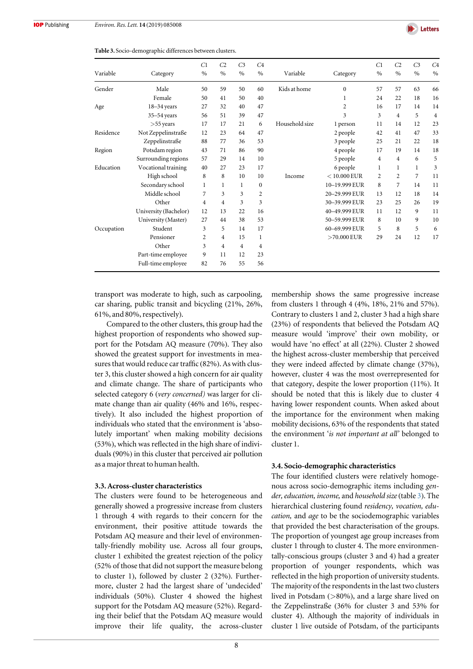

<span id="page-8-0"></span>Table 3. Socio-demographic differences between clusters.

| Variable   | Category              | C1<br>$\%$     | C <sub>2</sub><br>$\%$ | C <sub>3</sub><br>$\%$ | C <sub>4</sub><br>$\%$ | Variable       | Category       | C1<br>$\%$              | C <sub>2</sub><br>$\%$ | C <sub>3</sub><br>$\frac{0}{0}$ | C <sub>4</sub><br>$\%$ |
|------------|-----------------------|----------------|------------------------|------------------------|------------------------|----------------|----------------|-------------------------|------------------------|---------------------------------|------------------------|
| Gender     | Male                  | 50             | 59                     | 50                     | 60                     | Kids at home   | $\mathbf{0}$   | 57                      | 57                     | 63                              | 66                     |
|            | Female                | 50             | 41                     | 50                     | 40                     |                | 1              | 24                      | 22                     | 18                              | 16                     |
| Age        | $18 - 34$ years       | 27             | 32                     | 40                     | 47                     |                | 2              | 16                      | 17                     | 14                              | 14                     |
|            | $35 - 54$ years       | 56             | 51                     | 39                     | 47                     |                | 3              | $\overline{\mathbf{3}}$ | $\overline{4}$         | 5                               | $\overline{4}$         |
|            | $>55$ years           | 17             | 17                     | 21                     | 6                      | Household size | 1 person       | 11                      | 14                     | 12                              | 23                     |
| Residence  | Not Zeppelinstraße    | 12             | 23                     | 64                     | 47                     |                | 2 people       | 42                      | 41                     | 47                              | 33                     |
|            | Zeppelinstraße        | 88             | 77                     | 36                     | 53                     |                | 3 people       | 25                      | 21                     | 22                              | 18                     |
| Region     | Potsdam region        | 43             | 71                     | 86                     | 90                     |                | 4 people       | 17                      | 19                     | 14                              | 18                     |
|            | Surrounding regions   | 57             | 29                     | 14                     | 10                     |                | 5 people       | 4                       | $\overline{4}$         | 6                               | 5                      |
| Education  | Vocational training   | 40             | 27                     | 23                     | 17                     |                | 6 people       | 1                       | 1                      | 1                               | 3                      |
|            | High school           | 8              | 8                      | 10                     | 10                     | Income         | $<$ 10.000 EUR | 2                       | $\overline{c}$         | $\overline{7}$                  | 11                     |
|            | Secondary school      | $\mathbf{1}$   | $\mathbf{1}$           | 1                      | $\boldsymbol{0}$       |                | 10-19.999 EUR  | 8                       | 7                      | 14                              | 11                     |
|            | Middle school         | 7              | 3                      | 3                      | 2                      |                | 20-29.999 EUR  | 13                      | 12                     | 18                              | 14                     |
|            | Other                 | 4              | 4                      | 3                      | 3                      |                | 30-39.999 EUR  | 23                      | 25                     | 26                              | 19                     |
|            | University (Bachelor) | 12             | 13                     | 22                     | 16                     |                | 40-49.999 EUR  | 11                      | 12                     | 9                               | 11                     |
|            | University (Master)   | 27             | 44                     | 38                     | 53                     |                | 50-59.999 EUR  | 8                       | 10                     | 9                               | 10                     |
| Occupation | Student               | 3              | 5                      | 14                     | 17                     |                | 60-69.999 EUR  | 5                       | 8                      | 5                               | 6                      |
|            | Pensioner             | $\overline{2}$ | 4                      | 15                     | 1                      |                | $>70.000$ EUR  | 29                      | 24                     | 12                              | 17                     |
|            | Other                 | 3              | 4                      | 4                      | 4                      |                |                |                         |                        |                                 |                        |
|            | Part-time employee    | 9              | 11                     | 12                     | 23                     |                |                |                         |                        |                                 |                        |
|            | Full-time employee    | 82             | 76                     | 55                     | 56                     |                |                |                         |                        |                                 |                        |

transport was moderate to high, such as carpooling, car sharing, public transit and bicycling (21%, 26%, 61%, and 80%, respectively).

Compared to the other clusters, this group had the highest proportion of respondents who showed support for the Potsdam AQ measure (70%). They also showed the greatest support for investments in measures that would reduce car traffic (82%). As with cluster 3, this cluster showed a high concern for air quality and climate change. The share of participants who selected category 6 (very concerned) was larger for climate change than air quality (46% and 16%, respectively). It also included the highest proportion of individuals who stated that the environment is 'absolutely important' when making mobility decisions (53%), which was reflected in the high share of individuals (90%) in this cluster that perceived air pollution as a major threat to human health.

#### 3.3. Across-cluster characteristics

The clusters were found to be heterogeneous and generally showed a progressive increase from clusters 1 through 4 with regards to their concern for the environment, their positive attitude towards the Potsdam AQ measure and their level of environmentally-friendly mobility use. Across all four groups, cluster 1 exhibited the greatest rejection of the policy (52% of those that did not support the measure belong to cluster 1), followed by cluster 2 (32%). Furthermore, cluster 2 had the largest share of 'undecided' individuals (50%). Cluster 4 showed the highest support for the Potsdam AQ measure (52%). Regarding their belief that the Potsdam AQ measure would improve their life quality, the across-cluster membership shows the same progressive increase from clusters 1 through 4 (4%, 18%, 21% and 57%). Contrary to clusters 1 and 2, cluster 3 had a high share (23%) of respondents that believed the Potsdam AQ measure would 'improve' their own mobility, or would have 'no effect' at all (22%). Cluster 2 showed the highest across-cluster membership that perceived they were indeed affected by climate change (37%), however, cluster 4 was the most overrepresented for that category, despite the lower proportion (11%). It should be noted that this is likely due to cluster 4 having lower respondent counts. When asked about the importance for the environment when making mobility decisions, 63% of the respondents that stated the environment 'is not important at all' belonged to cluster 1.

#### 3.4. Socio-demographic characteristics

The four identified clusters were relatively homogenous across socio-demographic items including gender, education, income, and household size (table 3). The hierarchical clustering found residency, vocation, education, and age to be the sociodemographic variables that provided the best characterisation of the groups. The proportion of youngest age group increases from cluster 1 through to cluster 4. The more environmentally-conscious groups (cluster 3 and 4) had a greater proportion of younger respondents, which was reflected in the high proportion of university students. The majority of the respondents in the last two clusters lived in Potsdam (>80%), and a large share lived on the Zeppelinstraße (36% for cluster 3 and 53% for cluster 4). Although the majority of individuals in cluster 1 live outside of Potsdam, of the participants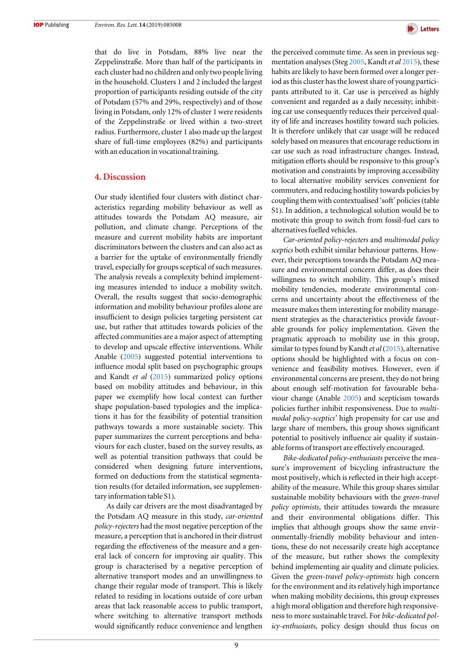that do live in Potsdam, 88% live near the Zeppelinstraße. More than half of the participants in each cluster had no children and only two people living in the household. Clusters 1 and 2 included the largest proportion of participants residing outside of the city of Potsdam (57% and 29%, respectively) and of those living in Potsdam, only 12% of cluster 1 were residents of the Zeppelinstraße or lived within a two-street radius. Furthermore, cluster 1 also made up the largest share of full-time employees (82%) and participants with an education in vocational training.

#### 4. Discussion

Our study identified four clusters with distinct characteristics regarding mobility behaviour as well as attitudes towards the Potsdam AQ measure, air pollution, and climate change. Perceptions of the measure and current mobility habits are important discriminators between the clusters and can also act as a barrier for the uptake of environmentally friendly travel, especially for groups sceptical of such measures. The analysis reveals a complexity behind implementing measures intended to induce a mobility switch. Overall, the results suggest that socio-demographic information and mobility behaviour profiles alone are insufficient to design policies targeting persistent car use, but rather that attitudes towards policies of the affected communities are a major aspect of attempting to develop and upscale effective interventions. While Anable ([2005](#page-10-0)) suggested potential interventions to influence modal split based on psychographic groups and Kandt et al ([2015](#page-11-0)) summarized policy options based on mobility attitudes and behaviour, in this paper we exemplify how local context can further shape population-based typologies and the implications it has for the feasibility of potential transition pathways towards a more sustainable society. This paper summarizes the current perceptions and behaviours for each cluster, based on the survey results, as well as potential transition pathways that could be considered when designing future interventions, formed on deductions from the statistical segmentation results (for detailed information, see supplementary information table S1).

As daily car drivers are the most disadvantaged by the Potsdam AQ measure in this study, car-oriented policy-rejecters had the most negative perception of the measure, a perception that is anchored in their distrust regarding the effectiveness of the measure and a general lack of concern for improving air quality. This group is characterised by a negative perception of alternative transport modes and an unwillingness to change their regular mode of transport. This is likely related to residing in locations outside of core urban areas that lack reasonable access to public transport, where switching to alternative transport methods would significantly reduce convenience and lengthen



the perceived commute time. As seen in previous seg-mentation analyses (Steg [2005,](#page-11-0) Kandt et al [2015](#page-11-0)), these habits are likely to have been formed over a longer period as this cluster has the lowest share of young participants attributed to it. Car use is perceived as highly convenient and regarded as a daily necessity; inhibiting car use consequently reduces their perceived quality of life and increases hostility toward such policies. It is therefore unlikely that car usage will be reduced solely based on measures that encourage reductions in car use such as road infrastructure changes. Instead, mitigation efforts should be responsive to this group's motivation and constraints by improving accessibility to local alternative mobility services convenient for commuters, and reducing hostility towards policies by coupling them with contextualised 'soft' policies(table S1). In addition, a technological solution would be to motivate this group to switch from fossil-fuel cars to alternatives fuelled vehicles.

Car-oriented policy-rejecters and multimodal policy sceptics both exhibit similar behaviour patterns. However, their perceptions towards the Potsdam AQ measure and environmental concern differ, as does their willingness to switch mobility. This group's mixed mobility tendencies, moderate environmental concerns and uncertainty about the effectiveness of the measure makes them interesting for mobility management strategies as the characteristics provide favourable grounds for policy implementation. Given the pragmatic approach to mobility use in this group, similar to types found by Kandt *et al* ([2015](#page-11-0)), alternative options should be highlighted with a focus on convenience and feasibility motives. However, even if environmental concerns are present, they do not bring about enough self-motivation for favourable behaviour change (Anable [2005](#page-10-0)) and scepticism towards policies further inhibit responsiveness. Due to multimodal policy-sceptics' high propensity for car use and large share of members, this group shows significant potential to positively influence air quality if sustainable forms of transport are effectively encouraged.

Bike-dedicated policy-enthusiasts perceive the measure's improvement of bicycling infrastructure the most positively, which is reflected in their high acceptability of the measure. While this group shares similar sustainable mobility behaviours with the green-travel policy optimists, their attitudes towards the measure and their environmental obligations differ. This implies that although groups show the same environmentally-friendly mobility behaviour and intentions, these do not necessarily create high acceptance of the measure, but rather shows the complexity behind implementing air quality and climate policies. Given the green-travel policy-optimists high concern for the environment and its relatively high importance when making mobility decisions, this group expresses a high moral obligation and therefore high responsiveness to more sustainable travel. For bike-dedicated policy-enthusiasts, policy design should thus focus on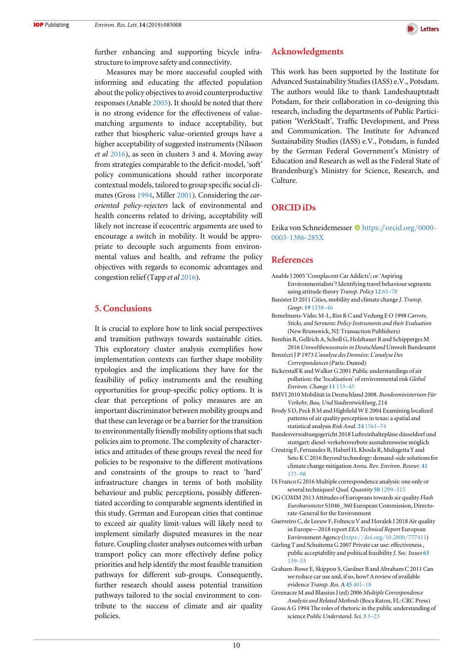

<span id="page-10-0"></span>further enhancing and supporting bicycle infrastructure to improve safety and connectivity.

Measures may be more successful coupled with informing and educating the affected population about the policy objectives to avoid counterproductive responses (Anable 2005). It should be noted that there is no strong evidence for the effectiveness of valuematching arguments to induce acceptability, but rather that biospheric value-oriented groups have a higher acceptability of suggested instruments (Nilsson et al [2016](#page-11-0)), as seen in clusters 3 and 4. Moving away from strategies comparable to the deficit-model, 'soft' policy communications should rather incorporate contextual models, tailored to group specific social climates (Gross 1994, Miller [2001](#page-11-0)). Considering the caroriented policy-rejecters lack of environmental and health concerns related to driving, acceptability will likely not increase if ecocentric arguments are used to encourage a switch in mobility. It would be appropriate to decouple such arguments from environmental values and health, and reframe the policy objectives with regards to economic advantages and congestion relief(Tapp et al [2016](#page-11-0)).

# 5. Conclusions

It is crucial to explore how to link social perspectives and transition pathways towards sustainable cities. This exploratory cluster analysis exemplifies how implementation contexts can further shape mobility typologies and the implications they have for the feasibility of policy instruments and the resulting opportunities for group-specific policy options. It is clear that perceptions of policy measures are an important discriminator between mobility groups and that these can leverage or be a barrier for the transition to environmentally friendly mobility options that such policies aim to promote. The complexity of characteristics and attitudes of these groups reveal the need for policies to be responsive to the different motivations and constraints of the groups to react to 'hard' infrastructure changes in terms of both mobility behaviour and public perceptions, possibly differentiated according to comparable segments identified in this study. German and European cities that continue to exceed air quality limit-values will likely need to implement similarly disputed measures in the near future. Coupling cluster analyses outcomes with urban transport policy can more effectively define policy priorities and help identify the most feasible transition pathways for different sub-groups. Consequently, further research should assess potential transition pathways tailored to the social environment to contribute to the success of climate and air quality policies.

# Acknowledgments

This work has been supported by the Institute for Advanced Sustainability Studies (IASS) e.V., Potsdam. The authors would like to thank Landeshauptstadt Potsdam, for their collaboration in co-designing this research, including the departments of Public Participation 'WerkStadt', Traffic Development, and Press and Communication. The Institute for Advanced Sustainability Studies (IASS) e.V., Potsdam, is funded by the German Federal Government's Ministry of Education and Research as well as the Federal State of Brandenburg's Ministry for Science, Research, and Culture.

## ORCID iDs

E[r](https://orcid.org/0000-0003-1386-285X)ika von Schneidemesser **[https:](https://orcid.org/0000-0003-1386-285X)//[orcid.org](https://orcid.org/0000-0003-1386-285X)/0000-**[0003-1386-285X](https://orcid.org/0000-0003-1386-285X)

# References

- Anable J 2005 'Complacent Car Addicts'; or'Aspiring Environmentalists'? Identifying travel behaviour segments using attitude theory Transp. Policy [12](https://doi.org/10.1016/j.tranpol.2004.11.004) 65–78
- Banister D 2011 Cities, mobility and climate change J. Transp. Geogr. 19 [1538](https://doi.org/10.1016/j.jtrangeo.2011.03.009)–46
- Bemelmens-Videc M-L, Rist R C and Vedung E O 1998 Carrots, Sticks, and Sermons: Policy Instruments and their Evaluation (New Brunswick, NJ: Transaction Publishers)
- Benthin R, Gellrich A, Scholl G, Holzhauer B and Schipperges M 2016 Umweltbewusstsein in Deutschland Umwelt Bundesamt
- Benzécri J P 1973 L'analyse des Données: L'analyse Des Correspondances (Paris: Dunod)
- Bickerstaff K and Walker G 2001 Public understandings of air pollution: the 'localisation' of environmental risk Global Environ. Change 11 [133](https://doi.org/10.1016/S0959-3780(00)00063-7)–45
- BMVI 2010 Mobilität in Deutschland 2008. Bundesministerium Für Verkehr, Bau, Und Stadtentwicklung, 214
- Brody S D, Peck B M and Highfield W E 2004 Examining localized patterns of air quality perception in texas: a spatial and statistical analysis Risk Anal. 24 [1561](https://doi.org/10.1111/j.0272-4332.2004.00550.x)–74
- Bundesverwaltungsgericht 2018 Luftreinhaltepläne düsseldorf und stuttgart: diesel-verkehrsverbote ausnahmsweise möglich
- Creutzig F, Fernandez B, Haberl H, Khosla R, Mulugetta Y and Seto K C 2016 Beyond technology: demand-side solutions for climate change mitigation Annu. Rev. Environ. Resour. [41](https://doi.org/10.1146/annurev-environ-110615-085428) [173](https://doi.org/10.1146/annurev-environ-110615-085428)–98
- Di Franco G 2016 Multiple correspondence analysis: one only or several techniques? Qual. Quantity 50 [1299](https://doi.org/10.1007/s11135-015-0206-0)-315
- DG COMM 2013 Attitudes of Europeans towards air quality Flash Eurobarometer S1046\_360 European Commission, Directorate-General for the Environment
- Guerreiro C, de Leeuw F, Foltescu V and Horalek J 2018 Air quality in Europe—2018 report EEA Technical Report European Environment Agency (https://doi.org/[10.2800](https://doi.org/10.2800/777411)/777411)
- Gärling T and Schuitema G 2007 Private car use: effectiveness , public acceptability and political feasibility J. Soc. Issues [63](https://doi.org/10.1111/j.1540-4560.2007.00500.x) [139](https://doi.org/10.1111/j.1540-4560.2007.00500.x)–53
- Graham-Rowe E, Skippon S, Gardner B and Abraham C 2011 Can we reduce car use and, if so, how? A review of available evidence Transp. Res. A45 [401](https://doi.org/10.1016/j.tra.2011.02.001)–18
- Greenacre M and Blassius J(ed) 2006 Multiple Correspondence Analysis and Related Methods (Boca Raton, FL: CRC Press)
- Gross A G 1994 The roles of rhetoric in the public understanding of science Public Understand. Sci. [3](https://doi.org/10.1088/0963-6625/3/1/001) 3–[23](https://doi.org/10.1088/0963-6625/3/1/001)